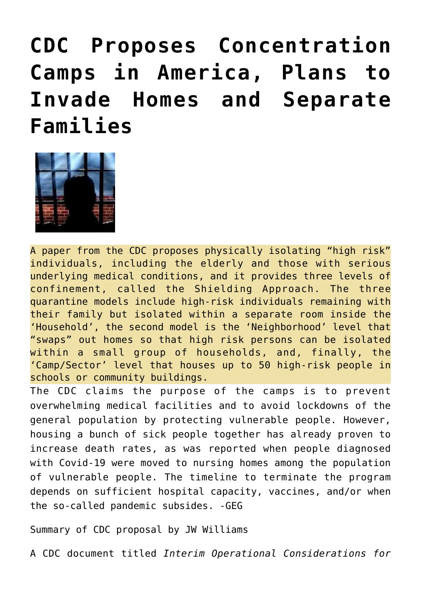**[CDC Proposes Concentration](https://needtoknow.news/2020/11/cdc-proposes-concentration-camps-in-america-plans-to-invade-homes-and-separate-families/) [Camps in America, Plans to](https://needtoknow.news/2020/11/cdc-proposes-concentration-camps-in-america-plans-to-invade-homes-and-separate-families/) [Invade Homes and Separate](https://needtoknow.news/2020/11/cdc-proposes-concentration-camps-in-america-plans-to-invade-homes-and-separate-families/) [Families](https://needtoknow.news/2020/11/cdc-proposes-concentration-camps-in-america-plans-to-invade-homes-and-separate-families/)**



A paper from the CDC proposes physically isolating "high risk" individuals, including the elderly and those with serious underlying medical conditions, and it provides three levels of confinement, called the Shielding Approach. The three quarantine models include high-risk individuals remaining with their family but isolated within a separate room inside the 'Household', the second model is the 'Neighborhood' level that "swaps" out homes so that high risk persons can be isolated within a small group of households, and, finally, the 'Camp/Sector' level that houses up to 50 high-risk people in schools or community buildings.

The CDC claims the purpose of the camps is to prevent overwhelming medical facilities and to avoid lockdowns of the general population by protecting vulnerable people. However, housing a bunch of sick people together has already proven to increase death rates, as was reported when people diagnosed with Covid-19 were moved to nursing homes among the population of vulnerable people. The timeline to terminate the program depends on sufficient hospital capacity, vaccines, and/or when the so-called pandemic subsides. -GEG

Summary of CDC proposal by JW Williams

A CDC document titled *Interim Operational Considerations for*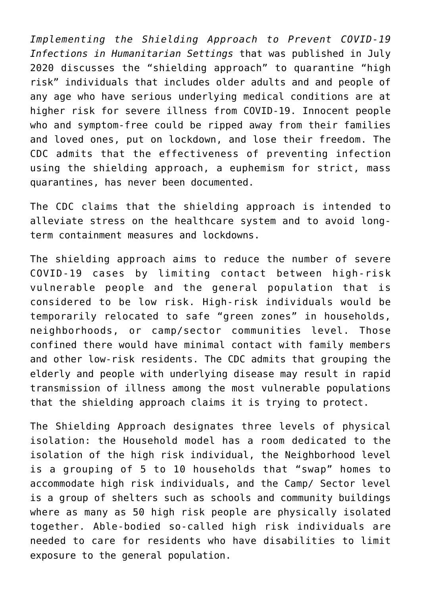*Implementing the Shielding Approach to Prevent COVID-19 Infections in Humanitarian Settings* that was published in July 2020 discusses the "shielding approach" to quarantine "high risk" individuals that includes older adults and and people of any age who have serious underlying medical conditions are at higher risk for severe illness from COVID-19. Innocent people who and symptom-free could be ripped away from their families and loved ones, put on lockdown, and lose their freedom. The CDC admits that the effectiveness of preventing infection using the shielding approach, a euphemism for strict, mass quarantines, has never been documented.

The CDC claims that the shielding approach is intended to alleviate stress on the healthcare system and to avoid longterm containment measures and lockdowns.

The shielding approach aims to reduce the number of severe COVID-19 cases by limiting contact between high-risk vulnerable people and the general population that is considered to be low risk. High-risk individuals would be temporarily relocated to safe "green zones" in households, neighborhoods, or camp/sector communities level. Those confined there would have minimal contact with family members and other low-risk residents. The CDC admits that grouping the elderly and people with underlying disease may result in rapid transmission of illness among the most vulnerable populations that the shielding approach claims it is trying to protect.

The Shielding Approach designates three levels of physical isolation: the Household model has a room dedicated to the isolation of the high risk individual, the Neighborhood level is a grouping of 5 to 10 households that "swap" homes to accommodate high risk individuals, and the Camp/ Sector level is a group of shelters such as schools and community buildings where as many as 50 high risk people are physically isolated together. Able-bodied so-called high risk individuals are needed to care for residents who have disabilities to limit exposure to the general population.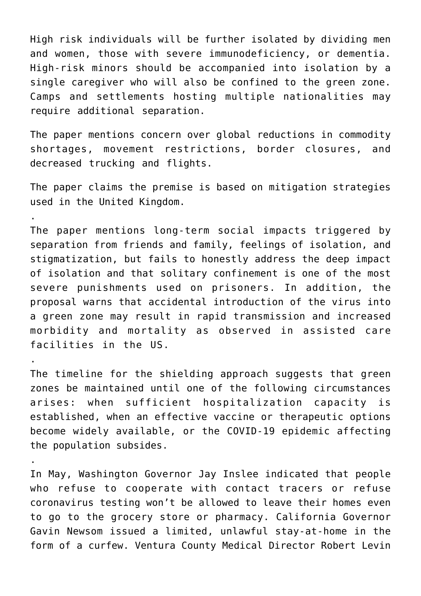High risk individuals will be further isolated by dividing men and women, those with severe immunodeficiency, or dementia. High-risk minors should be accompanied into isolation by a single caregiver who will also be confined to the green zone. Camps and settlements hosting multiple nationalities may require additional separation.

The paper mentions concern over global reductions in commodity shortages, movement restrictions, border closures, and decreased trucking and flights.

The paper claims the premise is based on mitigation strategies used in the United Kingdom.

.

.

.

The paper mentions long-term social impacts triggered by separation from friends and family, feelings of isolation, and stigmatization, but fails to honestly address the deep impact of isolation and that solitary confinement is one of the most severe punishments used on prisoners. In addition, the proposal warns that accidental introduction of the virus into a green zone may result in rapid transmission and increased morbidity and mortality as observed in assisted care facilities in the US.

The timeline for the shielding approach suggests that green zones be maintained until one of the following circumstances arises: when sufficient hospitalization capacity is established, when an effective vaccine or therapeutic options become widely available, or the COVID-19 epidemic affecting the population subsides.

In May, Washington [Governor Jay Inslee](https://www.lifesitenews.com/mobile/news/washington-gov-those-who-dont-cooperate-with-contact-tracers-and-tests-not-allowed-to-leave-home) indicated that people who refuse to cooperate with contact tracers or refuse coronavirus testing won't be allowed to leave their homes even to go to the grocery store or pharmacy. California [Governor](https://losangeles.cbslocal.com/2020/11/19/newsom-stay-at-home-order-curfew-california-purple-tier/) [Gavin Newsom](https://losangeles.cbslocal.com/2020/11/19/newsom-stay-at-home-order-curfew-california-purple-tier/) issued a limited, unlawful stay-at-home in the form of a curfew. Ventura County Medical Director Robert Levin